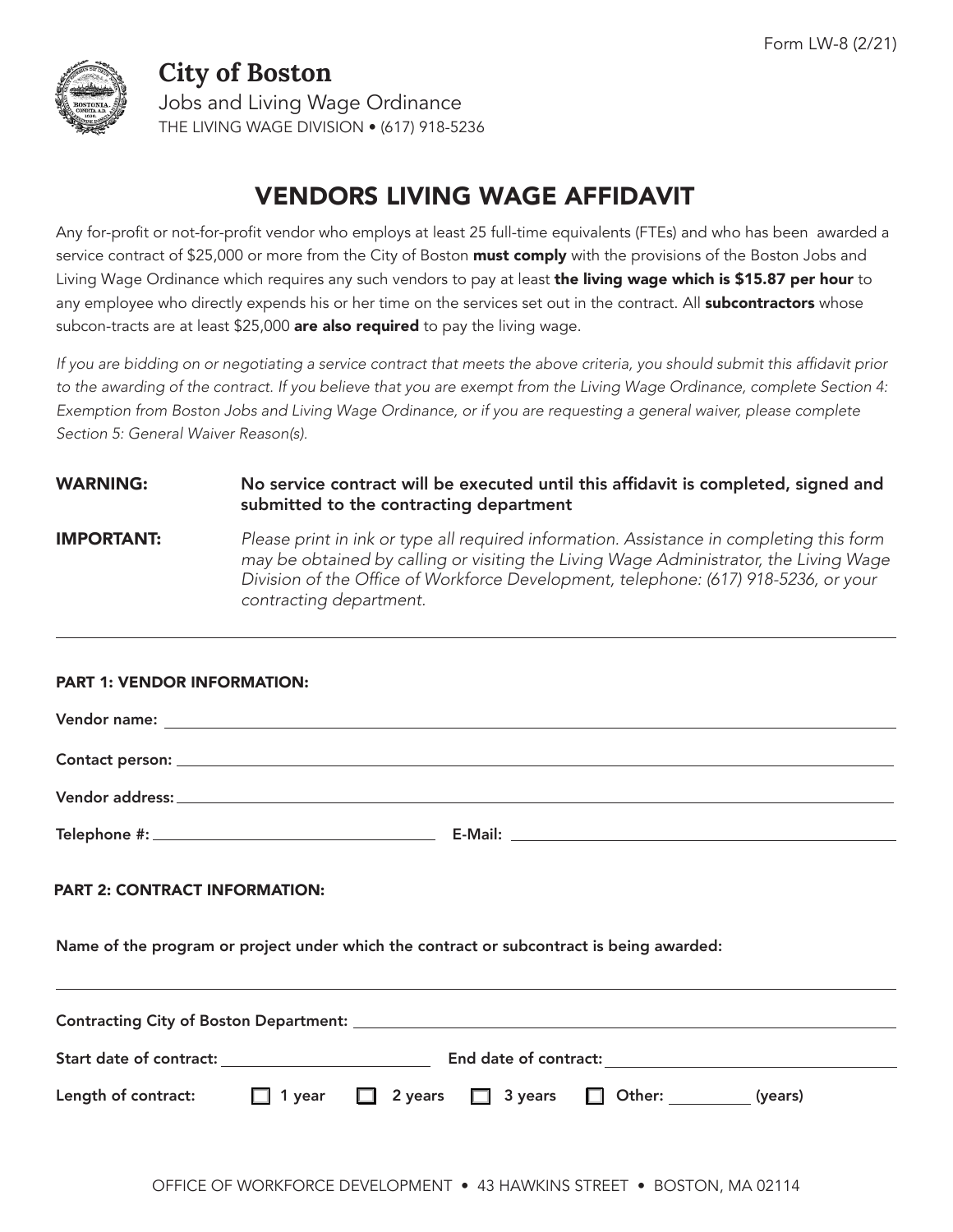

City of Boston Jobs and Living Wage Ordinance THE LIVING WAGE DIVISION • (617) 918-5236

# VENDORS LIVING WAGE AFFIDAVIT

Any for-profit or not-for-profit vendor who employs at least 25 full-time equivalents (FTEs) and who has been awarded a service contract of \$25,000 or more from the City of Boston must comply with the provisions of the Boston Jobs and Living Wage Ordinance which requires any such vendors to pay at least the living wage which is \$15.87 per hour to any employee who directly expends his or her time on the services set out in the contract. All **subcontractors** whose subcon-tracts are at least \$25,000 are also required to pay the living wage.

If you are bidding on or negotiating a service contract that meets the above criteria, you should submit this affidavit prior to the awarding of the contract. If you believe that you are exempt from the Living Wage Ordinance, complete Section 4: Exemption from Boston Jobs and Living Wage Ordinance, or if you are requesting a general waiver, please complete Section 5: General Waiver Reason(s).

WARNING: No service contract will be executed until this affidavit is completed, signed and submitted to the contracting department

**IMPORTANT:** Please print in ink or type all required information. Assistance in completing this form may be obtained by calling or visiting the Living Wage Administrator, the Living Wage Division of the Office of Workforce Development, telephone: (617) 918-5236, or your contracting department.

## PART 1: VENDOR INFORMATION:

| <b>PART 2: CONTRACT INFORMATION:</b>                                                     |  |  |  |
|------------------------------------------------------------------------------------------|--|--|--|
| Name of the program or project under which the contract or subcontract is being awarded: |  |  |  |
|                                                                                          |  |  |  |
|                                                                                          |  |  |  |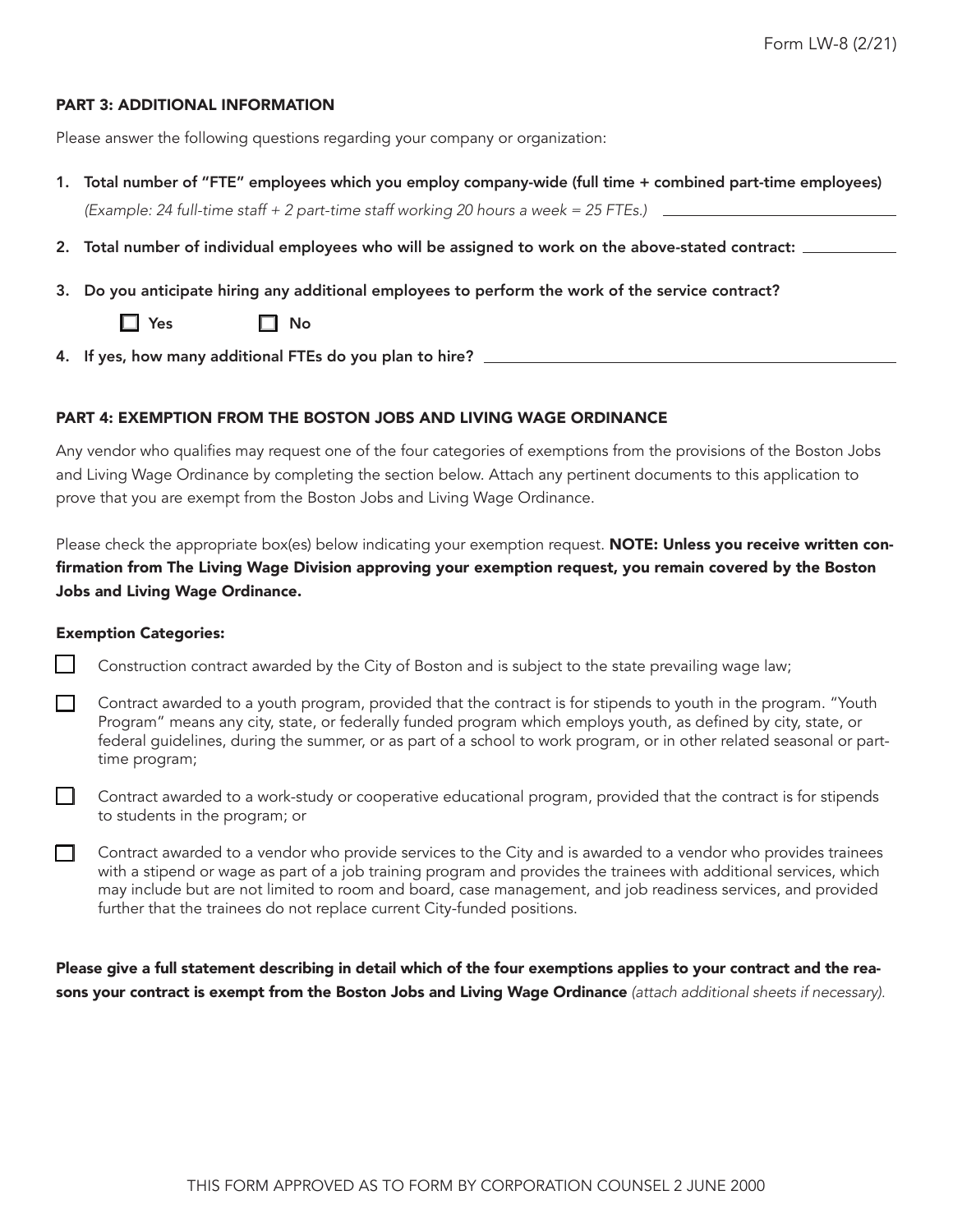### PART 3: ADDITIONAL INFORMATION

Please answer the following questions regarding your company or organization:

- 1. Total number of "FTE" employees which you employ company-wide (full time + combined part-time employees) (Example: 24 full-time staff  $+ 2$  part-time staff working 20 hours a week = 25 FTEs.)  $\quad \_$
- 2. Total number of individual employees who will be assigned to work on the above-stated contract:  $\equiv$
- 3. Do you anticipate hiring any additional employees to perform the work of the service contract?
	- $\square$  Yes  $\square$  No
- 4. If yes, how many additional FTEs do you plan to hire?

#### PART 4: EXEMPTION FROM THE BOSTON JOBS AND LIVING WAGE ORDINANCE

Any vendor who qualifies may request one of the four categories of exemptions from the provisions of the Boston Jobs and Living Wage Ordinance by completing the section below. Attach any pertinent documents to this application to prove that you are exempt from the Boston Jobs and Living Wage Ordinance.

Please check the appropriate box(es) below indicating your exemption request. **NOTE: Unless you receive written con**firmation from The Living Wage Division approving your exemption request, you remain covered by the Boston Jobs and Living Wage Ordinance.

#### Exemption Categories:

- Construction contract awarded by the City of Boston and is subject to the state prevailing wage law;
- Contract awarded to a youth program, provided that the contract is for stipends to youth in the program. "Youth П Program" means any city, state, or federally funded program which employs youth, as defined by city, state, or federal guidelines, during the summer, or as part of a school to work program, or in other related seasonal or parttime program;
- Contract awarded to a work-study or cooperative educational program, provided that the contract is for stipends to students in the program; or
- Contract awarded to a vendor who provide services to the City and is awarded to a vendor who provides trainees П with a stipend or wage as part of a job training program and provides the trainees with additional services, which may include but are not limited to room and board, case management, and job readiness services, and provided further that the trainees do not replace current City-funded positions.

Please give a full statement describing in detail which of the four exemptions applies to your contract and the reasons your contract is exempt from the Boston Jobs and Living Wage Ordinance (attach additional sheets if necessary).